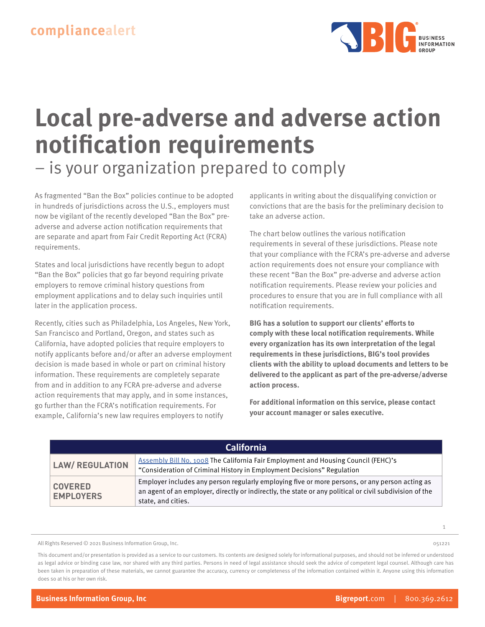

# **Local pre-adverse and adverse action notification requirements**

– is your organization prepared to comply

As fragmented "Ban the Box" policies continue to be adopted in hundreds of jurisdictions across the U.S., employers must now be vigilant of the recently developed "Ban the Box" preadverse and adverse action notification requirements that are separate and apart from Fair Credit Reporting Act (FCRA) requirements.

States and local jurisdictions have recently begun to adopt "Ban the Box" policies that go far beyond requiring private employers to remove criminal history questions from employment applications and to delay such inquiries until later in the application process.

Recently, cities such as Philadelphia, Los Angeles, New York, San Francisco and Portland, Oregon, and states such as California, have adopted policies that require employers to notify applicants before and/or after an adverse employment decision is made based in whole or part on criminal history information. These requirements are completely separate from and in addition to any FCRA pre-adverse and adverse action requirements that may apply, and in some instances, go further than the FCRA's notification requirements. For example, California's new law requires employers to notify

applicants in writing about the disqualifying conviction or convictions that are the basis for the preliminary decision to take an adverse action.

The chart below outlines the various notification requirements in several of these jurisdictions. Please note that your compliance with the FCRA's pre-adverse and adverse action requirements does not ensure your compliance with these recent "Ban the Box" pre-adverse and adverse action notification requirements. Please review your policies and procedures to ensure that you are in full compliance with all notification requirements.

**BIG has a solution to support our clients' efforts to comply with these local notification requirements. While every organization has its own interpretation of the legal requirements in these jurisdictions, BIG's tool provides clients with the ability to upload documents and letters to be delivered to the applicant as part of the pre-adverse/adverse action process.**

**For additional information on this service, please contact your account manager or sales executive.**

| <b>California</b>                  |                                                                                                                                                                                                                                 |
|------------------------------------|---------------------------------------------------------------------------------------------------------------------------------------------------------------------------------------------------------------------------------|
| <b>LAW/ REGULATION</b>             | Assembly Bill No. 1008 The California Fair Employment and Housing Council (FEHC)'s<br>"Consideration of Criminal History in Employment Decisions" Regulation                                                                    |
| <b>COVERED</b><br><b>EMPLOYERS</b> | Employer includes any person regularly employing five or more persons, or any person acting as<br>an agent of an employer, directly or indirectly, the state or any political or civil subdivision of the<br>state, and cities. |

All Rights Reserved © 2021 Business Information Group, Inc.

This document and/or presentation is provided as a service to our customers. Its contents are designed solely for informational purposes, and should not be inferred or understood as legal advice or binding case law, nor shared with any third parties. Persons in need of legal assistance should seek the advice of competent legal counsel. Although care has been taken in preparation of these materials, we cannot guarantee the accuracy, currency or completeness of the information contained within it. Anyone using this information does so at his or her own risk.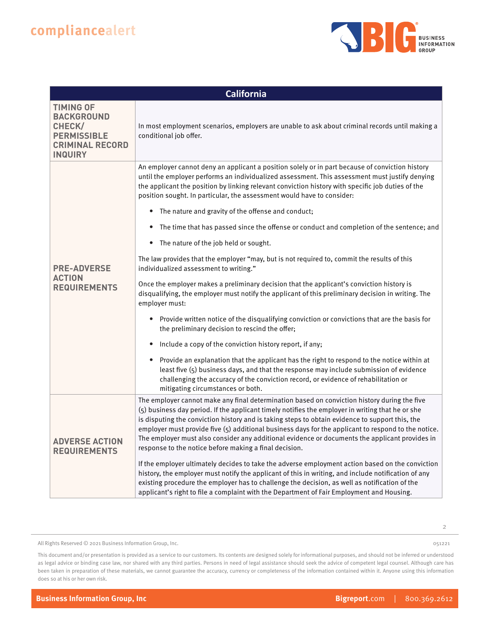

| <b>California</b>                                                                                                 |                                                                                                                                                                                                                                                                                                                                                                                                                                                                                                                                                                        |
|-------------------------------------------------------------------------------------------------------------------|------------------------------------------------------------------------------------------------------------------------------------------------------------------------------------------------------------------------------------------------------------------------------------------------------------------------------------------------------------------------------------------------------------------------------------------------------------------------------------------------------------------------------------------------------------------------|
| <b>TIMING OF</b><br><b>BACKGROUND</b><br>CHECK/<br><b>PERMISSIBLE</b><br><b>CRIMINAL RECORD</b><br><b>INQUIRY</b> | In most employment scenarios, employers are unable to ask about criminal records until making a<br>conditional job offer.                                                                                                                                                                                                                                                                                                                                                                                                                                              |
|                                                                                                                   | An employer cannot deny an applicant a position solely or in part because of conviction history<br>until the employer performs an individualized assessment. This assessment must justify denying<br>the applicant the position by linking relevant conviction history with specific job duties of the<br>position sought. In particular, the assessment would have to consider:                                                                                                                                                                                       |
|                                                                                                                   | The nature and gravity of the offense and conduct;<br>$\bullet$                                                                                                                                                                                                                                                                                                                                                                                                                                                                                                        |
|                                                                                                                   | The time that has passed since the offense or conduct and completion of the sentence; and<br>٠                                                                                                                                                                                                                                                                                                                                                                                                                                                                         |
|                                                                                                                   | The nature of the job held or sought.<br>$\bullet$                                                                                                                                                                                                                                                                                                                                                                                                                                                                                                                     |
| <b>PRE-ADVERSE</b><br><b>ACTION</b><br><b>REQUIREMENTS</b>                                                        | The law provides that the employer "may, but is not required to, commit the results of this<br>individualized assessment to writing."                                                                                                                                                                                                                                                                                                                                                                                                                                  |
|                                                                                                                   | Once the employer makes a preliminary decision that the applicant's conviction history is<br>disqualifying, the employer must notify the applicant of this preliminary decision in writing. The<br>employer must:                                                                                                                                                                                                                                                                                                                                                      |
|                                                                                                                   | Provide written notice of the disqualifying conviction or convictions that are the basis for<br>$\bullet$<br>the preliminary decision to rescind the offer;                                                                                                                                                                                                                                                                                                                                                                                                            |
|                                                                                                                   | Include a copy of the conviction history report, if any;<br>$\bullet$                                                                                                                                                                                                                                                                                                                                                                                                                                                                                                  |
|                                                                                                                   | Provide an explanation that the applicant has the right to respond to the notice within at<br>٠<br>least five (5) business days, and that the response may include submission of evidence<br>challenging the accuracy of the conviction record, or evidence of rehabilitation or<br>mitigating circumstances or both.                                                                                                                                                                                                                                                  |
| <b>ADVERSE ACTION</b><br><b>REQUIREMENTS</b>                                                                      | The employer cannot make any final determination based on conviction history during the five<br>(5) business day period. If the applicant timely notifies the employer in writing that he or she<br>is disputing the conviction history and is taking steps to obtain evidence to support this, the<br>employer must provide five (5) additional business days for the applicant to respond to the notice.<br>The employer must also consider any additional evidence or documents the applicant provides in<br>response to the notice before making a final decision. |
|                                                                                                                   | If the employer ultimately decides to take the adverse employment action based on the conviction<br>history, the employer must notify the applicant of this in writing, and include notification of any<br>existing procedure the employer has to challenge the decision, as well as notification of the<br>applicant's right to file a complaint with the Department of Fair Employment and Housing.                                                                                                                                                                  |

All Rights Reserved © 2021 Business Information Group, Inc.

2

051221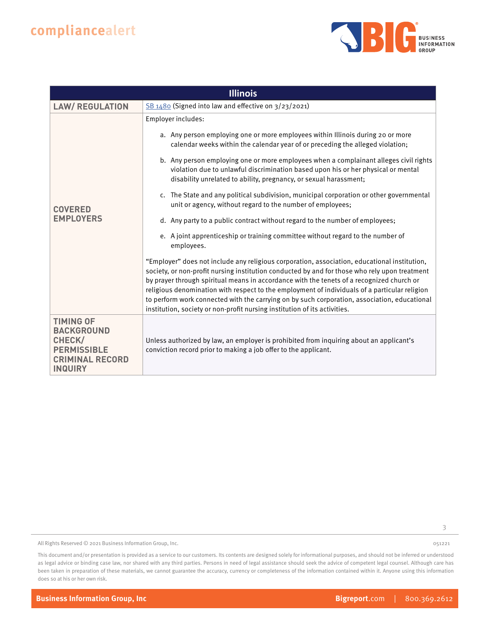

| <b>Illinois</b>                                                                                                   |                                                                                                                                                                                                                                                                                                                                                                                                                                                                                                                                                                                                                                                                                                                                                                                                                                                                                                                                                                                                                                                                                                                                                                                                                                                                                                                                                                  |
|-------------------------------------------------------------------------------------------------------------------|------------------------------------------------------------------------------------------------------------------------------------------------------------------------------------------------------------------------------------------------------------------------------------------------------------------------------------------------------------------------------------------------------------------------------------------------------------------------------------------------------------------------------------------------------------------------------------------------------------------------------------------------------------------------------------------------------------------------------------------------------------------------------------------------------------------------------------------------------------------------------------------------------------------------------------------------------------------------------------------------------------------------------------------------------------------------------------------------------------------------------------------------------------------------------------------------------------------------------------------------------------------------------------------------------------------------------------------------------------------|
| <b>LAW/ REGULATION</b>                                                                                            | SB 1480 (Signed into law and effective on 3/23/2021)                                                                                                                                                                                                                                                                                                                                                                                                                                                                                                                                                                                                                                                                                                                                                                                                                                                                                                                                                                                                                                                                                                                                                                                                                                                                                                             |
| <b>COVERED</b><br><b>EMPLOYERS</b>                                                                                | Employer includes:<br>a. Any person employing one or more employees within Illinois during 20 or more<br>calendar weeks within the calendar year of or preceding the alleged violation;<br>b. Any person employing one or more employees when a complainant alleges civil rights<br>violation due to unlawful discrimination based upon his or her physical or mental<br>disability unrelated to ability, pregnancy, or sexual harassment;<br>c. The State and any political subdivision, municipal corporation or other governmental<br>unit or agency, without regard to the number of employees;<br>d. Any party to a public contract without regard to the number of employees;<br>e. A joint apprenticeship or training committee without regard to the number of<br>employees.<br>"Employer" does not include any religious corporation, association, educational institution,<br>society, or non-profit nursing institution conducted by and for those who rely upon treatment<br>by prayer through spiritual means in accordance with the tenets of a recognized church or<br>religious denomination with respect to the employment of individuals of a particular religion<br>to perform work connected with the carrying on by such corporation, association, educational<br>institution, society or non-profit nursing institution of its activities. |
| <b>TIMING OF</b><br><b>BACKGROUND</b><br>CHECK/<br><b>PERMISSIBLE</b><br><b>CRIMINAL RECORD</b><br><b>INQUIRY</b> | Unless authorized by law, an employer is prohibited from inquiring about an applicant's<br>conviction record prior to making a job offer to the applicant.                                                                                                                                                                                                                                                                                                                                                                                                                                                                                                                                                                                                                                                                                                                                                                                                                                                                                                                                                                                                                                                                                                                                                                                                       |

3

All Rights Reserved © 2021 Business Information Group, Inc.

This document and/or presentation is provided as a service to our customers. Its contents are designed solely for informational purposes, and should not be inferred or understood as legal advice or binding case law, nor shared with any third parties. Persons in need of legal assistance should seek the advice of competent legal counsel. Although care has been taken in preparation of these materials, we cannot guarantee the accuracy, currency or completeness of the information contained within it. Anyone using this information does so at his or her own risk.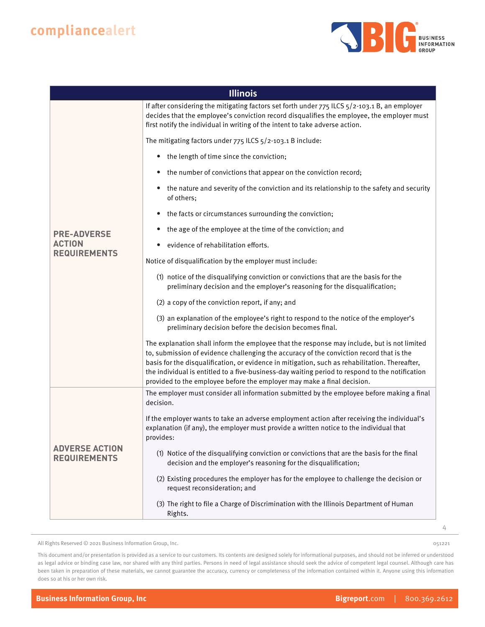

| <b>Illinois</b>                              |                                                                                                                                                                                                                                                                                                                                                                                                                                                                         |
|----------------------------------------------|-------------------------------------------------------------------------------------------------------------------------------------------------------------------------------------------------------------------------------------------------------------------------------------------------------------------------------------------------------------------------------------------------------------------------------------------------------------------------|
|                                              | If after considering the mitigating factors set forth under 775 ILCS 5/2-103.1 B, an employer<br>decides that the employee's conviction record disqualifies the employee, the employer must<br>first notify the individual in writing of the intent to take adverse action.                                                                                                                                                                                             |
|                                              | The mitigating factors under 775 ILCS 5/2-103.1 B include:                                                                                                                                                                                                                                                                                                                                                                                                              |
|                                              | the length of time since the conviction;<br>$\bullet$                                                                                                                                                                                                                                                                                                                                                                                                                   |
|                                              | the number of convictions that appear on the conviction record;<br>$\bullet$                                                                                                                                                                                                                                                                                                                                                                                            |
|                                              | the nature and severity of the conviction and its relationship to the safety and security<br>$\bullet$<br>of others:                                                                                                                                                                                                                                                                                                                                                    |
|                                              | the facts or circumstances surrounding the conviction;                                                                                                                                                                                                                                                                                                                                                                                                                  |
| <b>PRE-ADVERSE</b>                           | the age of the employee at the time of the conviction; and<br>$\bullet$                                                                                                                                                                                                                                                                                                                                                                                                 |
| <b>ACTION</b><br><b>REQUIREMENTS</b>         | evidence of rehabilitation efforts.                                                                                                                                                                                                                                                                                                                                                                                                                                     |
|                                              | Notice of disqualification by the employer must include:                                                                                                                                                                                                                                                                                                                                                                                                                |
|                                              | (1) notice of the disqualifying conviction or convictions that are the basis for the<br>preliminary decision and the employer's reasoning for the disqualification;                                                                                                                                                                                                                                                                                                     |
|                                              | (2) a copy of the conviction report, if any; and                                                                                                                                                                                                                                                                                                                                                                                                                        |
|                                              | (3) an explanation of the employee's right to respond to the notice of the employer's<br>preliminary decision before the decision becomes final.                                                                                                                                                                                                                                                                                                                        |
|                                              | The explanation shall inform the employee that the response may include, but is not limited<br>to, submission of evidence challenging the accuracy of the conviction record that is the<br>basis for the disqualification, or evidence in mitigation, such as rehabilitation. Thereafter,<br>the individual is entitled to a five-business-day waiting period to respond to the notification<br>provided to the employee before the employer may make a final decision. |
| <b>ADVERSE ACTION</b><br><b>REQUIREMENTS</b> | The employer must consider all information submitted by the employee before making a final<br>decision.                                                                                                                                                                                                                                                                                                                                                                 |
|                                              | If the employer wants to take an adverse employment action after receiving the individual's<br>explanation (if any), the employer must provide a written notice to the individual that<br>provides:                                                                                                                                                                                                                                                                     |
|                                              | (1) Notice of the disqualifying conviction or convictions that are the basis for the final<br>decision and the employer's reasoning for the disqualification;                                                                                                                                                                                                                                                                                                           |
|                                              | (2) Existing procedures the employer has for the employee to challenge the decision or<br>request reconsideration; and                                                                                                                                                                                                                                                                                                                                                  |
|                                              | (3) The right to file a Charge of Discrimination with the Illinois Department of Human<br>Rights.                                                                                                                                                                                                                                                                                                                                                                       |

All Rights Reserved © 2021 Business Information Group, Inc.

4

051221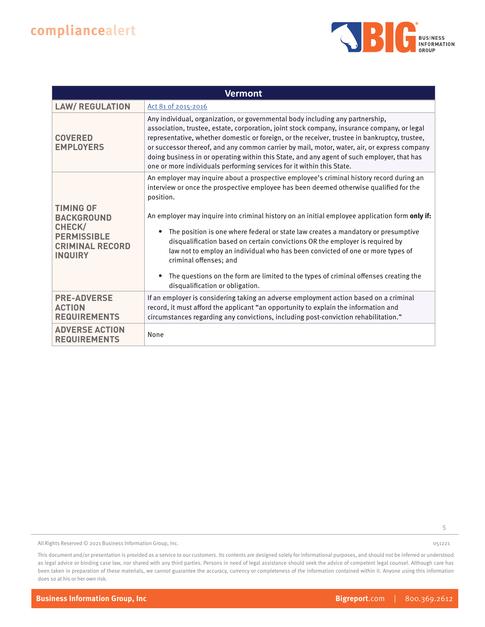

| <b>Vermont</b>                                                                                                    |                                                                                                                                                                                                                                                                                                                                                                                                                                                                                                                                                                                                                                                                                                               |
|-------------------------------------------------------------------------------------------------------------------|---------------------------------------------------------------------------------------------------------------------------------------------------------------------------------------------------------------------------------------------------------------------------------------------------------------------------------------------------------------------------------------------------------------------------------------------------------------------------------------------------------------------------------------------------------------------------------------------------------------------------------------------------------------------------------------------------------------|
| <b>LAW/ REGULATION</b>                                                                                            | Act 81 of 2015-2016                                                                                                                                                                                                                                                                                                                                                                                                                                                                                                                                                                                                                                                                                           |
| <b>COVERED</b><br><b>EMPLOYERS</b>                                                                                | Any individual, organization, or governmental body including any partnership,<br>association, trustee, estate, corporation, joint stock company, insurance company, or legal<br>representative, whether domestic or foreign, or the receiver, trustee in bankruptcy, trustee,<br>or successor thereof, and any common carrier by mail, motor, water, air, or express company<br>doing business in or operating within this State, and any agent of such employer, that has<br>one or more individuals performing services for it within this State.                                                                                                                                                           |
| <b>TIMING OF</b><br><b>BACKGROUND</b><br>CHECK/<br><b>PERMISSIBLE</b><br><b>CRIMINAL RECORD</b><br><b>INQUIRY</b> | An employer may inquire about a prospective employee's criminal history record during an<br>interview or once the prospective employee has been deemed otherwise qualified for the<br>position.<br>An employer may inquire into criminal history on an initial employee application form only if:<br>The position is one where federal or state law creates a mandatory or presumptive<br>disqualification based on certain convictions OR the employer is required by<br>law not to employ an individual who has been convicted of one or more types of<br>criminal offenses; and<br>The questions on the form are limited to the types of criminal offenses creating the<br>disqualification or obligation. |
| <b>PRE-ADVERSE</b><br><b>ACTION</b><br><b>REQUIREMENTS</b>                                                        | If an employer is considering taking an adverse employment action based on a criminal<br>record, it must afford the applicant "an opportunity to explain the information and<br>circumstances regarding any convictions, including post-conviction rehabilitation."                                                                                                                                                                                                                                                                                                                                                                                                                                           |
| <b>ADVERSE ACTION</b><br><b>REQUIREMENTS</b>                                                                      | None                                                                                                                                                                                                                                                                                                                                                                                                                                                                                                                                                                                                                                                                                                          |

5

All Rights Reserved © 2021 Business Information Group, Inc.

This document and/or presentation is provided as a service to our customers. Its contents are designed solely for informational purposes, and should not be inferred or understood as legal advice or binding case law, nor shared with any third parties. Persons in need of legal assistance should seek the advice of competent legal counsel. Although care has been taken in preparation of these materials, we cannot guarantee the accuracy, currency or completeness of the information contained within it. Anyone using this information does so at his or her own risk.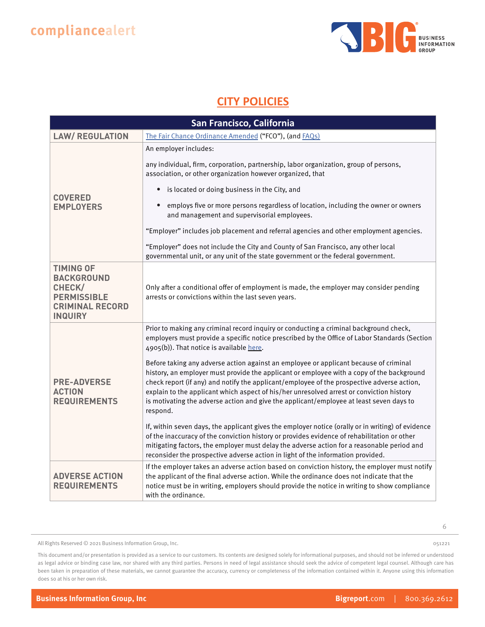

### **CITY POLICIES**

| San Francisco, California                                                                                         |                                                                                                                                                                                                                                                                                                                                                                                                                                                                                     |
|-------------------------------------------------------------------------------------------------------------------|-------------------------------------------------------------------------------------------------------------------------------------------------------------------------------------------------------------------------------------------------------------------------------------------------------------------------------------------------------------------------------------------------------------------------------------------------------------------------------------|
| <b>LAW/ REGULATION</b>                                                                                            | The Fair Chance Ordinance Amended ("FCO"), (and FAQs)                                                                                                                                                                                                                                                                                                                                                                                                                               |
| <b>COVERED</b><br><b>EMPLOYERS</b>                                                                                | An employer includes:<br>any individual, firm, corporation, partnership, labor organization, group of persons,                                                                                                                                                                                                                                                                                                                                                                      |
|                                                                                                                   | association, or other organization however organized, that<br>is located or doing business in the City, and<br>$\bullet$                                                                                                                                                                                                                                                                                                                                                            |
|                                                                                                                   | employs five or more persons regardless of location, including the owner or owners<br>and management and supervisorial employees.                                                                                                                                                                                                                                                                                                                                                   |
|                                                                                                                   | "Employer" includes job placement and referral agencies and other employment agencies.                                                                                                                                                                                                                                                                                                                                                                                              |
|                                                                                                                   | "Employer" does not include the City and County of San Francisco, any other local<br>governmental unit, or any unit of the state government or the federal government.                                                                                                                                                                                                                                                                                                              |
| <b>TIMING OF</b><br><b>BACKGROUND</b><br>CHECK/<br><b>PERMISSIBLE</b><br><b>CRIMINAL RECORD</b><br><b>INQUIRY</b> | Only after a conditional offer of employment is made, the employer may consider pending<br>arrests or convictions within the last seven years.                                                                                                                                                                                                                                                                                                                                      |
| <b>PRE-ADVERSE</b><br><b>ACTION</b><br><b>REQUIREMENTS</b>                                                        | Prior to making any criminal record inquiry or conducting a criminal background check,<br>employers must provide a specific notice prescribed by the Office of Labor Standards (Section<br>4905(b)). That notice is available here.                                                                                                                                                                                                                                                 |
|                                                                                                                   | Before taking any adverse action against an employee or applicant because of criminal<br>history, an employer must provide the applicant or employee with a copy of the background<br>check report (if any) and notify the applicant/employee of the prospective adverse action,<br>explain to the applicant which aspect of his/her unresolved arrest or conviction history<br>is motivating the adverse action and give the applicant/employee at least seven days to<br>respond. |
|                                                                                                                   | If, within seven days, the applicant gives the employer notice (orally or in writing) of evidence<br>of the inaccuracy of the conviction history or provides evidence of rehabilitation or other<br>mitigating factors, the employer must delay the adverse action for a reasonable period and<br>reconsider the prospective adverse action in light of the information provided.                                                                                                   |
| <b>ADVERSE ACTION</b><br><b>REQUIREMENTS</b>                                                                      | If the employer takes an adverse action based on conviction history, the employer must notify<br>the applicant of the final adverse action. While the ordinance does not indicate that the<br>notice must be in writing, employers should provide the notice in writing to show compliance<br>with the ordinance.                                                                                                                                                                   |

All Rights Reserved © 2021 Business Information Group, Inc.

6

This document and/or presentation is provided as a service to our customers. Its contents are designed solely for informational purposes, and should not be inferred or understood as legal advice or binding case law, nor shared with any third parties. Persons in need of legal assistance should seek the advice of competent legal counsel. Although care has been taken in preparation of these materials, we cannot guarantee the accuracy, currency or completeness of the information contained within it. Anyone using this information does so at his or her own risk.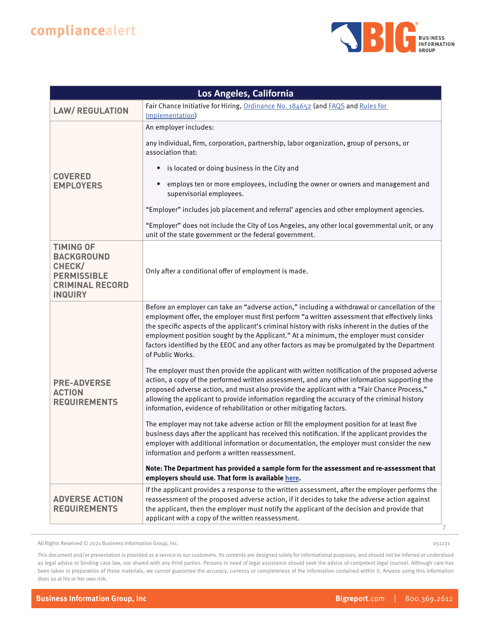

| Los Angeles, California                                                                                           |                                                                                                                                                                                                                                                                                                                                                                                                                                                                                                                     |
|-------------------------------------------------------------------------------------------------------------------|---------------------------------------------------------------------------------------------------------------------------------------------------------------------------------------------------------------------------------------------------------------------------------------------------------------------------------------------------------------------------------------------------------------------------------------------------------------------------------------------------------------------|
| <b>LAW/ REGULATION</b>                                                                                            | Fair Chance Initiative for Hiring, Ordinance No. 184652 (and FAQS and Rules for<br>Implementation)                                                                                                                                                                                                                                                                                                                                                                                                                  |
|                                                                                                                   | An employer includes:                                                                                                                                                                                                                                                                                                                                                                                                                                                                                               |
|                                                                                                                   | any individual, firm, corporation, partnership, labor organization, group of persons, or<br>association that:                                                                                                                                                                                                                                                                                                                                                                                                       |
|                                                                                                                   | is located or doing business in the City and<br>$\bullet$                                                                                                                                                                                                                                                                                                                                                                                                                                                           |
| <b>COVERED</b><br><b>EMPLOYERS</b>                                                                                | employs ten or more employees, including the owner or owners and management and<br>$\bullet$<br>supervisorial employees.                                                                                                                                                                                                                                                                                                                                                                                            |
|                                                                                                                   | "Employer" includes job placement and referral' agencies and other employment agencies.                                                                                                                                                                                                                                                                                                                                                                                                                             |
|                                                                                                                   | "Employer" does not include the City of Los Angeles, any other local governmental unit, or any<br>unit of the state government or the federal government.                                                                                                                                                                                                                                                                                                                                                           |
| <b>TIMING OF</b><br><b>BACKGROUND</b><br>CHECK/<br><b>PERMISSIBLE</b><br><b>CRIMINAL RECORD</b><br><b>INQUIRY</b> | Only after a conditional offer of employment is made.                                                                                                                                                                                                                                                                                                                                                                                                                                                               |
| <b>PRE-ADVERSE</b><br><b>ACTION</b><br><b>REQUIREMENTS</b>                                                        | Before an employer can take an "adverse action," including a withdrawal or cancellation of the<br>employment offer, the employer must first perform "a written assessment that effectively links<br>the specific aspects of the applicant's criminal history with risks inherent in the duties of the<br>employment position sought by the Applicant." At a minimum, the employer must consider<br>factors identified by the EEOC and any other factors as may be promulgated by the Department<br>of Public Works. |
|                                                                                                                   | The employer must then provide the applicant with written notification of the proposed adverse<br>action, a copy of the performed written assessment, and any other information supporting the<br>proposed adverse action, and must also provide the applicant with a "Fair Chance Process,"<br>allowing the applicant to provide information regarding the accuracy of the criminal history<br>information, evidence of rehabilitation or other mitigating factors.                                                |
|                                                                                                                   | The employer may not take adverse action or fill the employment position for at least five<br>business days after the applicant has received this notification. If the applicant provides the<br>employer with additional information or documentation, the employer must consider the new<br>information and perform a written reassessment.                                                                                                                                                                       |
|                                                                                                                   | Note: The Department has provided a sample form for the assessment and re-assessment that<br>employers should use. That form is available here.                                                                                                                                                                                                                                                                                                                                                                     |
| <b>ADVERSE ACTION</b><br><b>REQUIREMENTS</b>                                                                      | If the applicant provides a response to the written assessment, after the employer performs the<br>reassessment of the proposed adverse action, if it decides to take the adverse action against<br>the applicant, then the employer must notify the applicant of the decision and provide that<br>applicant with a copy of the written reassessment.                                                                                                                                                               |

All Rights Reserved © 2021 Business Information Group, Inc.

051221

7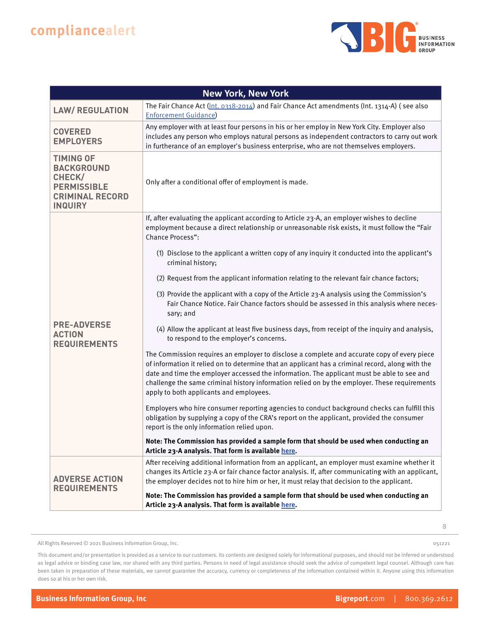

| <b>New York, New York</b>                                                                                         |                                                                                                                                                                                                                                                                                                                                                                                                                                           |
|-------------------------------------------------------------------------------------------------------------------|-------------------------------------------------------------------------------------------------------------------------------------------------------------------------------------------------------------------------------------------------------------------------------------------------------------------------------------------------------------------------------------------------------------------------------------------|
| <b>LAW/ REGULATION</b>                                                                                            | The Fair Chance Act $(\ln t. 0318 - 2014)$ and Fair Chance Act amendments (Int. 1314-A) (see also<br><b>Enforcement Guidance</b> )                                                                                                                                                                                                                                                                                                        |
| <b>COVERED</b><br><b>EMPLOYERS</b>                                                                                | Any employer with at least four persons in his or her employ in New York City. Employer also<br>includes any person who employs natural persons as independent contractors to carry out work<br>in furtherance of an employer's business enterprise, who are not themselves employers.                                                                                                                                                    |
| <b>TIMING OF</b><br><b>BACKGROUND</b><br>CHECK/<br><b>PERMISSIBLE</b><br><b>CRIMINAL RECORD</b><br><b>INQUIRY</b> | Only after a conditional offer of employment is made.                                                                                                                                                                                                                                                                                                                                                                                     |
|                                                                                                                   | If, after evaluating the applicant according to Article 23-A, an employer wishes to decline<br>employment because a direct relationship or unreasonable risk exists, it must follow the "Fair<br><b>Chance Process":</b>                                                                                                                                                                                                                  |
|                                                                                                                   | (1) Disclose to the applicant a written copy of any inquiry it conducted into the applicant's<br>criminal history;                                                                                                                                                                                                                                                                                                                        |
|                                                                                                                   | (2) Request from the applicant information relating to the relevant fair chance factors;                                                                                                                                                                                                                                                                                                                                                  |
| <b>PRE-ADVERSE</b><br><b>ACTION</b><br><b>REQUIREMENTS</b>                                                        | (3) Provide the applicant with a copy of the Article 23-A analysis using the Commission's<br>Fair Chance Notice. Fair Chance factors should be assessed in this analysis where neces-<br>sary; and                                                                                                                                                                                                                                        |
|                                                                                                                   | (4) Allow the applicant at least five business days, from receipt of the inquiry and analysis,<br>to respond to the employer's concerns.                                                                                                                                                                                                                                                                                                  |
|                                                                                                                   | The Commission requires an employer to disclose a complete and accurate copy of every piece<br>of information it relied on to determine that an applicant has a criminal record, along with the<br>date and time the employer accessed the information. The applicant must be able to see and<br>challenge the same criminal history information relied on by the employer. These requirements<br>apply to both applicants and employees. |
|                                                                                                                   | Employers who hire consumer reporting agencies to conduct background checks can fulfill this<br>obligation by supplying a copy of the CRA's report on the applicant, provided the consumer<br>report is the only information relied upon.                                                                                                                                                                                                 |
|                                                                                                                   | Note: The Commission has provided a sample form that should be used when conducting an<br>Article 23-A analysis. That form is available here.                                                                                                                                                                                                                                                                                             |
| <b>ADVERSE ACTION</b><br><b>REQUIREMENTS</b>                                                                      | After receiving additional information from an applicant, an employer must examine whether it<br>changes its Article 23-A or fair chance factor analysis. If, after communicating with an applicant,<br>the employer decides not to hire him or her, it must relay that decision to the applicant.                                                                                                                                        |
|                                                                                                                   | Note: The Commission has provided a sample form that should be used when conducting an<br>Article 23-A analysis. That form is available here.                                                                                                                                                                                                                                                                                             |

All Rights Reserved © 2021 Business Information Group, Inc.

8

051221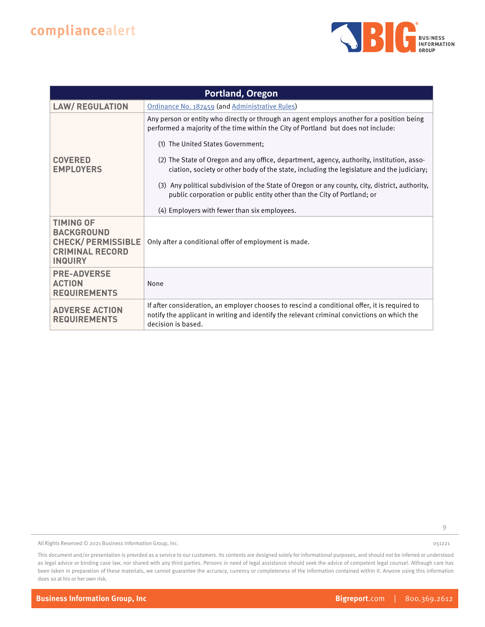

| <b>Portland, Oregon</b>                                                                                       |                                                                                                                                                                                                                    |
|---------------------------------------------------------------------------------------------------------------|--------------------------------------------------------------------------------------------------------------------------------------------------------------------------------------------------------------------|
| <b>LAW/ REGULATION</b>                                                                                        | Ordinance No. 187459 (and Administrative Rules)                                                                                                                                                                    |
| <b>COVERED</b><br><b>EMPLOYERS</b>                                                                            | Any person or entity who directly or through an agent employs another for a position being<br>performed a majority of the time within the City of Portland but does not include:                                   |
|                                                                                                               | (1) The United States Government;                                                                                                                                                                                  |
|                                                                                                               | (2) The State of Oregon and any office, department, agency, authority, institution, asso-<br>ciation, society or other body of the state, including the legislature and the judiciary;                             |
|                                                                                                               | (3) Any political subdivision of the State of Oregon or any county, city, district, authority,<br>public corporation or public entity other than the City of Portland; or                                          |
|                                                                                                               | (4) Employers with fewer than six employees.                                                                                                                                                                       |
| <b>TIMING OF</b><br><b>BACKGROUND</b><br><b>CHECK/PERMISSIBLE</b><br><b>CRIMINAL RECORD</b><br><b>INQUIRY</b> | Only after a conditional offer of employment is made.                                                                                                                                                              |
| <b>PRE-ADVERSE</b><br><b>ACTION</b><br><b>REQUIREMENTS</b>                                                    | None                                                                                                                                                                                                               |
| <b>ADVERSE ACTION</b><br><b>REQUIREMENTS</b>                                                                  | If after consideration, an employer chooses to rescind a conditional offer, it is required to<br>notify the applicant in writing and identify the relevant criminal convictions on which the<br>decision is based. |

9

All Rights Reserved © 2021 Business Information Group, Inc.

This document and/or presentation is provided as a service to our customers. Its contents are designed solely for informational purposes, and should not be inferred or understood as legal advice or binding case law, nor shared with any third parties. Persons in need of legal assistance should seek the advice of competent legal counsel. Although care has been taken in preparation of these materials, we cannot guarantee the accuracy, currency or completeness of the information contained within it. Anyone using this information does so at his or her own risk.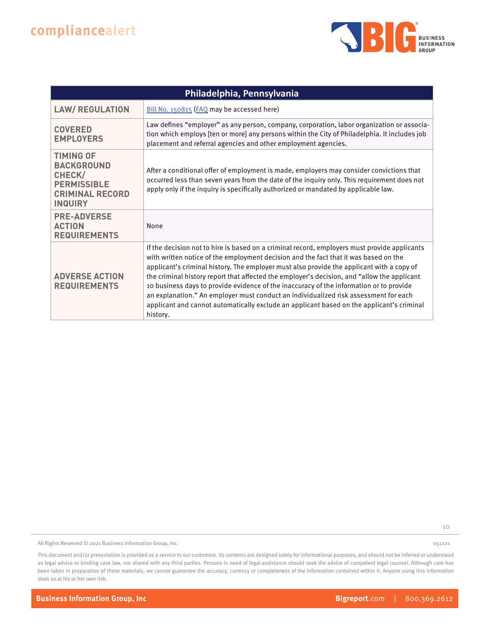

| Philadelphia, Pennsylvania                                                                                        |                                                                                                                                                                                                                                                                                                                                                                                                                                                                                                                                                                                                                                                                              |
|-------------------------------------------------------------------------------------------------------------------|------------------------------------------------------------------------------------------------------------------------------------------------------------------------------------------------------------------------------------------------------------------------------------------------------------------------------------------------------------------------------------------------------------------------------------------------------------------------------------------------------------------------------------------------------------------------------------------------------------------------------------------------------------------------------|
| <b>LAW/ REGULATION</b>                                                                                            | Bill No. 150815 (FAQ may be accessed here)                                                                                                                                                                                                                                                                                                                                                                                                                                                                                                                                                                                                                                   |
| <b>COVERED</b><br><b>EMPLOYERS</b>                                                                                | Law defines "employer" as any person, company, corporation, labor organization or associa-<br>tion which employs [ten or more] any persons within the City of Philadelphia. It includes job<br>placement and referral agencies and other employment agencies.                                                                                                                                                                                                                                                                                                                                                                                                                |
| <b>TIMING OF</b><br><b>BACKGROUND</b><br>CHECK/<br><b>PERMISSIBLE</b><br><b>CRIMINAL RECORD</b><br><b>INQUIRY</b> | After a conditional offer of employment is made, employers may consider convictions that<br>occurred less than seven years from the date of the inquiry only. This requirement does not<br>apply only if the inquiry is specifically authorized or mandated by applicable law.                                                                                                                                                                                                                                                                                                                                                                                               |
| <b>PRE-ADVERSE</b><br><b>ACTION</b><br><b>REQUIREMENTS</b>                                                        | None                                                                                                                                                                                                                                                                                                                                                                                                                                                                                                                                                                                                                                                                         |
| <b>ADVERSE ACTION</b><br><b>REQUIREMENTS</b>                                                                      | If the decision not to hire is based on a criminal record, employers must provide applicants<br>with written notice of the employment decision and the fact that it was based on the<br>applicant's criminal history. The employer must also provide the applicant with a copy of<br>the criminal history report that affected the employer's decision, and "allow the applicant<br>10 business days to provide evidence of the inaccuracy of the information or to provide<br>an explanation." An employer must conduct an individualized risk assessment for each<br>applicant and cannot automatically exclude an applicant based on the applicant's criminal<br>history. |

10

All Rights Reserved © 2021 Business Information Group, Inc.

051221